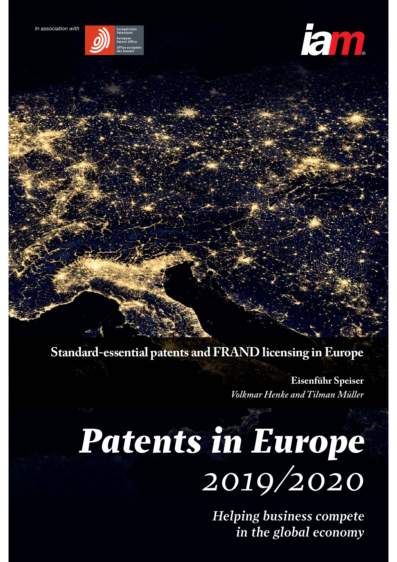



**Standard-essential patents and FRAND licensing in Europe**

**Eisenführ Speiser**  *Volkmar Henke and Tilman Müller*

### nts in Hurope **2019** *Patents in Europe 2019/2020*

*Building IP value competition in the global economy*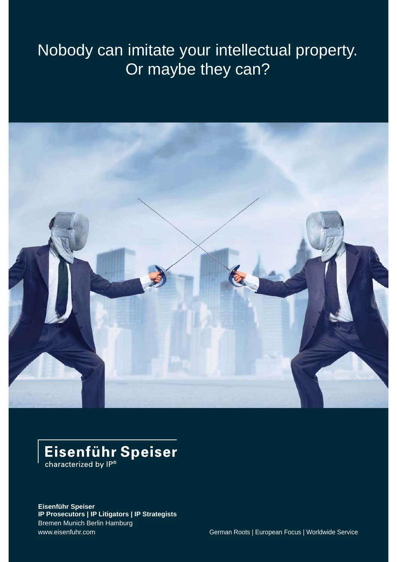### Nobody can imitate your intellectual property. Or maybe they can?



## Eisenführ Speiser

**Eisenführ Speiser IP Prosecutors | IP Litigators | IP Strategists** Bremen Munich Berlin Hamburg www.eisenfuhr.com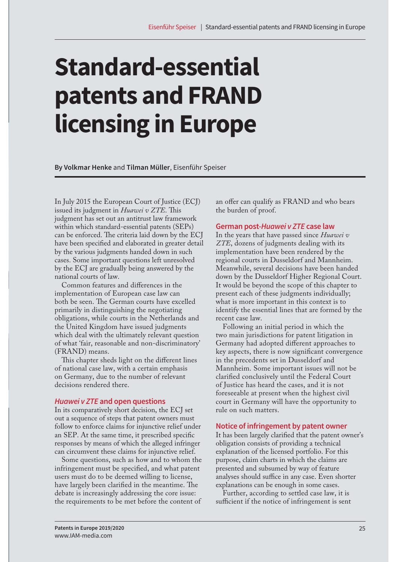# **Standard-essential patents and FRAND licensing in Europe**

**By Volkmar Henke** and **Tilman Müller**, Eisenführ Speiser

In July 2015 the European Court of Justice (ECJ) issued its judgment in *Huawei v ZTE*. This judgment has set out an antitrust law framework within which standard-essential patents (SEPs) can be enforced. The criteria laid down by the ECJ have been specified and elaborated in greater detail by the various judgments handed down in such cases. Some important questions left unresolved by the ECJ are gradually being answered by the national courts of law.

Common features and differences in the implementation of European case law can both be seen. The German courts have excelled primarily in distinguishing the negotiating obligations, while courts in the Netherlands and the United Kingdom have issued judgments which deal with the ultimately relevant question of what 'fair, reasonable and non-discriminatory' (FRAND) means.

This chapter sheds light on the different lines of national case law, with a certain emphasis on Germany, due to the number of relevant decisions rendered there.

#### **Huawei v ZTE and open questions**

In its comparatively short decision, the ECJ set out a sequence of steps that patent owners must follow to enforce claims for injunctive relief under an SEP. At the same time, it prescribed specific responses by means of which the alleged infringer can circumvent these claims for injunctive relief.

Some questions, such as how and to whom the infringement must be specified, and what patent users must do to be deemed willing to license, have largely been clarified in the meantime. The debate is increasingly addressing the core issue: the requirements to be met before the content of

an offer can qualify as FRAND and who bears the burden of proof.

#### **German post-Huawei v ZTE case law**

In the years that have passed since *Huawei v ZTE*, dozens of judgments dealing with its implementation have been rendered by the regional courts in Dusseldorf and Mannheim. Meanwhile, several decisions have been handed down by the Dusseldorf Higher Regional Court. It would be beyond the scope of this chapter to present each of these judgments individually; what is more important in this context is to identify the essential lines that are formed by the recent case law.

Following an initial period in which the two main jurisdictions for patent litigation in Germany had adopted different approaches to key aspects, there is now significant convergence in the precedents set in Dusseldorf and Mannheim. Some important issues will not be clarified conclusively until the Federal Court of Justice has heard the cases, and it is not foreseeable at present when the highest civil court in Germany will have the opportunity to rule on such matters.

#### **Notice of infringement by patent owner**

It has been largely clarified that the patent owner's obligation consists of providing a technical explanation of the licensed portfolio. For this purpose, claim charts in which the claims are presented and subsumed by way of feature analyses should suffice in any case. Even shorter explanations can be enough in some cases.

Further, according to settled case law, it is sufficient if the notice of infringement is sent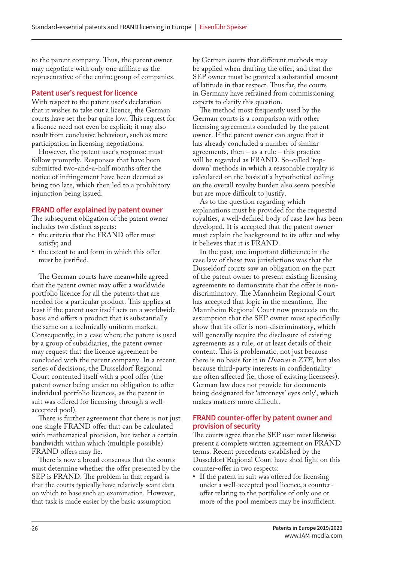to the parent company. Thus, the patent owner may negotiate with only one affiliate as the representative of the entire group of companies.

#### **Patent user's request for licence**

With respect to the patent user's declaration that it wishes to take out a licence, the German courts have set the bar quite low. This request for a licence need not even be explicit; it may also result from conclusive behaviour, such as mere participation in licensing negotiations.

However, the patent user's response must follow promptly. Responses that have been submitted two-and-a-half months after the notice of infringement have been deemed as being too late, which then led to a prohibitory injunction being issued.

#### **FRAND offer explained by patent owner**

The subsequent obligation of the patent owner includes two distinct aspects:

- the criteria that the FRAND offer must satisfy; and
- the extent to and form in which this offer must be justified.

The German courts have meanwhile agreed that the patent owner may offer a worldwide portfolio licence for all the patents that are needed for a particular product. This applies at least if the patent user itself acts on a worldwide basis and offers a product that is substantially the same on a technically uniform market. Consequently, in a case where the patent is used by a group of subsidiaries, the patent owner may request that the licence agreement be concluded with the parent company. In a recent series of decisions, the Dusseldorf Regional Court contented itself with a pool offer (the patent owner being under no obligation to offer individual portfolio licences, as the patent in suit was offered for licensing through a wellaccepted pool).

There is further agreement that there is not just one single FRAND offer that can be calculated with mathematical precision, but rather a certain bandwidth within which (multiple possible) FRAND offers may lie.

There is now a broad consensus that the courts must determine whether the offer presented by the SEP is FRAND. The problem in that regard is that the courts typically have relatively scant data on which to base such an examination. However, that task is made easier by the basic assumption

by German courts that different methods may be applied when drafting the offer, and that the SEP owner must be granted a substantial amount of latitude in that respect. Thus far, the courts in Germany have refrained from commissioning experts to clarify this question.

The method most frequently used by the German courts is a comparison with other licensing agreements concluded by the patent owner. If the patent owner can argue that it has already concluded a number of similar agreements, then  $-$  as a rule  $-$  this practice will be regarded as FRAND. So-called 'topdown' methods in which a reasonable royalty is calculated on the basis of a hypothetical ceiling on the overall royalty burden also seem possible but are more difficult to justify.

As to the question regarding which explanations must be provided for the requested royalties, a well-defined body of case law has been developed. It is accepted that the patent owner must explain the background to its offer and why it believes that it is FRAND.

In the past, one important difference in the case law of these two jurisdictions was that the Dusseldorf courts saw an obligation on the part of the patent owner to present existing licensing agreements to demonstrate that the offer is nondiscriminatory. The Mannheim Regional Court has accepted that logic in the meantime. The Mannheim Regional Court now proceeds on the assumption that the SEP owner must specifically show that its offer is non-discriminatory, which will generally require the disclosure of existing agreements as a rule, or at least details of their content. This is problematic, not just because there is no basis for it in *Huawei v ZTE*, but also because third-party interests in confidentiality are often affected (ie, those of existing licensees). German law does not provide for documents being designated for 'attorneys' eyes only', which makes matters more difficult.

#### **FRAND counter-offer by patent owner and provision of security**

The courts agree that the SEP user must likewise present a complete written agreement on FRAND terms. Recent precedents established by the Dusseldorf Regional Court have shed light on this counter-offer in two respects:

• If the patent in suit was offered for licensing under a well-accepted pool licence, a counteroffer relating to the portfolios of only one or more of the pool members may be insufficient.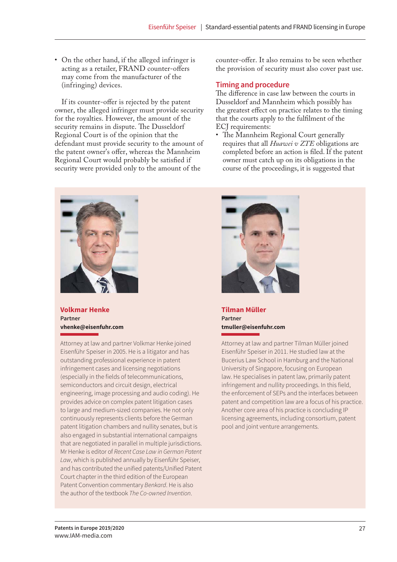• On the other hand, if the alleged infringer is acting as a retailer, FRAND counter-offers may come from the manufacturer of the (infringing) devices.

If its counter-offer is rejected by the patent owner, the alleged infringer must provide security for the royalties. However, the amount of the security remains in dispute. The Dusseldorf Regional Court is of the opinion that the defendant must provide security to the amount of the patent owner's offer, whereas the Mannheim Regional Court would probably be satisfied if security were provided only to the amount of the

counter-offer. It also remains to be seen whether the provision of security must also cover past use.

#### **Timing and procedure**

The difference in case law between the courts in Dusseldorf and Mannheim which possibly has the greatest effect on practice relates to the timing that the courts apply to the fulfilment of the ECJ requirements:

• The Mannheim Regional Court generally requires that all *Huawei v ZTE* obligations are completed before an action is filed. If the patent owner must catch up on its obligations in the course of the proceedings, it is suggested that



**Volkmar Henke Partner vhenke@eisenfuhr.com**

Attorney at law and partner Volkmar Henke joined Eisenführ Speiser in 2005. He is a litigator and has outstanding professional experience in patent infringement cases and licensing negotiations (especially in the fields of telecommunications, semiconductors and circuit design, electrical engineering, image processing and audio coding). He provides advice on complex patent litigation cases to large and medium-sized companies. He not only continuously represents clients before the German patent litigation chambers and nullity senates, but is also engaged in substantial international campaigns that are negotiated in parallel in multiple jurisdictions. Mr Henke is editor of Recent Case Law in German Patent Law, which is published annually by Eisenführ Speiser, and has contributed the unified patents/Unified Patent Court chapter in the third edition of the European Patent Convention commentary Benkard. He is also the author of the textbook The Co-owned Invention.



**Tilman Müller Partner tmuller@eisenfuhr.com**

Attorney at law and partner Tilman Müller joined Eisenführ Speiser in 2011. He studied law at the Bucerius Law School in Hamburg and the National University of Singapore, focusing on European law. He specialises in patent law, primarily patent infringement and nullity proceedings. In this field, the enforcement of SEPs and the interfaces between patent and competition law are a focus of his practice. Another core area of his practice is concluding IP licensing agreements, including consortium, patent pool and joint venture arrangements.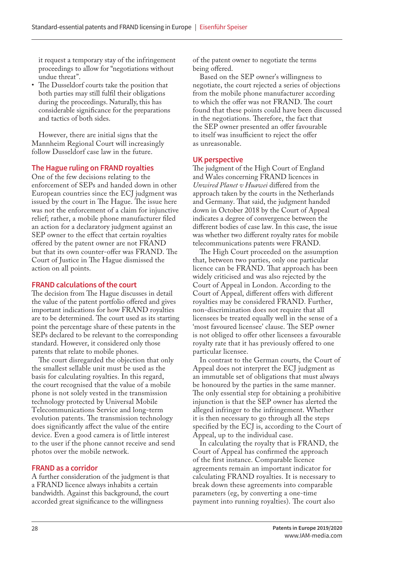it request a temporary stay of the infringement proceedings to allow for "negotiations without undue threat".

• The Dusseldorf courts take the position that both parties may still fulfil their obligations during the proceedings. Naturally, this has considerable significance for the preparations and tactics of both sides.

However, there are initial signs that the Mannheim Regional Court will increasingly follow Dusseldorf case law in the future.

#### **The Hague ruling on FRAND royalties**

One of the few decisions relating to the enforcement of SEPs and handed down in other European countries since the ECJ judgment was issued by the court in The Hague. The issue here was not the enforcement of a claim for injunctive relief; rather, a mobile phone manufacturer filed an action for a declaratory judgment against an SEP owner to the effect that certain royalties offered by the patent owner are not FRAND but that its own counter-offer was FRAND. The Court of Justice in The Hague dismissed the action on all points.

#### **FRAND calculations of the court**

The decision from The Hague discusses in detail the value of the patent portfolio offered and gives important indications for how FRAND royalties are to be determined. The court used as its starting point the percentage share of these patents in the SEPs declared to be relevant to the corresponding standard. However, it considered only those patents that relate to mobile phones.

The court disregarded the objection that only the smallest sellable unit must be used as the basis for calculating royalties. In this regard, the court recognised that the value of a mobile phone is not solely vested in the transmission technology protected by Universal Mobile Telecommunications Service and long-term evolution patents. The transmission technology does significantly affect the value of the entire device. Even a good camera is of little interest to the user if the phone cannot receive and send photos over the mobile network.

#### **FRAND as a corridor**

A further consideration of the judgment is that a FRAND licence always inhabits a certain bandwidth. Against this background, the court accorded great significance to the willingness

of the patent owner to negotiate the terms being offered.

Based on the SEP owner's willingness to negotiate, the court rejected a series of objections from the mobile phone manufacturer according to which the offer was not FRAND. The court found that these points could have been discussed in the negotiations. Therefore, the fact that the SEP owner presented an offer favourable to itself was insufficient to reject the offer as unreasonable.

#### **UK perspective**

The judgment of the High Court of England and Wales concerning FRAND licences in *Unwired Planet v Huawei* differed from the approach taken by the courts in the Netherlands and Germany. That said, the judgment handed down in October 2018 by the Court of Appeal indicates a degree of convergence between the different bodies of case law. In this case, the issue was whether two different royalty rates for mobile telecommunications patents were FRAND.

The High Court proceeded on the assumption that, between two parties, only one particular licence can be FRAND. That approach has been widely criticised and was also rejected by the Court of Appeal in London. According to the Court of Appeal, different offers with different royalties may be considered FRAND. Further, non-discrimination does not require that all licensees be treated equally well in the sense of a 'most favoured licensee' clause. The SEP owner is not obliged to offer other licensees a favourable royalty rate that it has previously offered to one particular licensee.

In contrast to the German courts, the Court of Appeal does not interpret the ECJ judgment as an immutable set of obligations that must always be honoured by the parties in the same manner. The only essential step for obtaining a prohibitive injunction is that the SEP owner has alerted the alleged infringer to the infringement. Whether it is then necessary to go through all the steps specified by the ECJ is, according to the Court of Appeal, up to the individual case.

In calculating the royalty that is FRAND, the Court of Appeal has confirmed the approach of the first instance. Comparable licence agreements remain an important indicator for calculating FRAND royalties. It is necessary to break down these agreements into comparable parameters (eg, by converting a one-time payment into running royalties). The court also